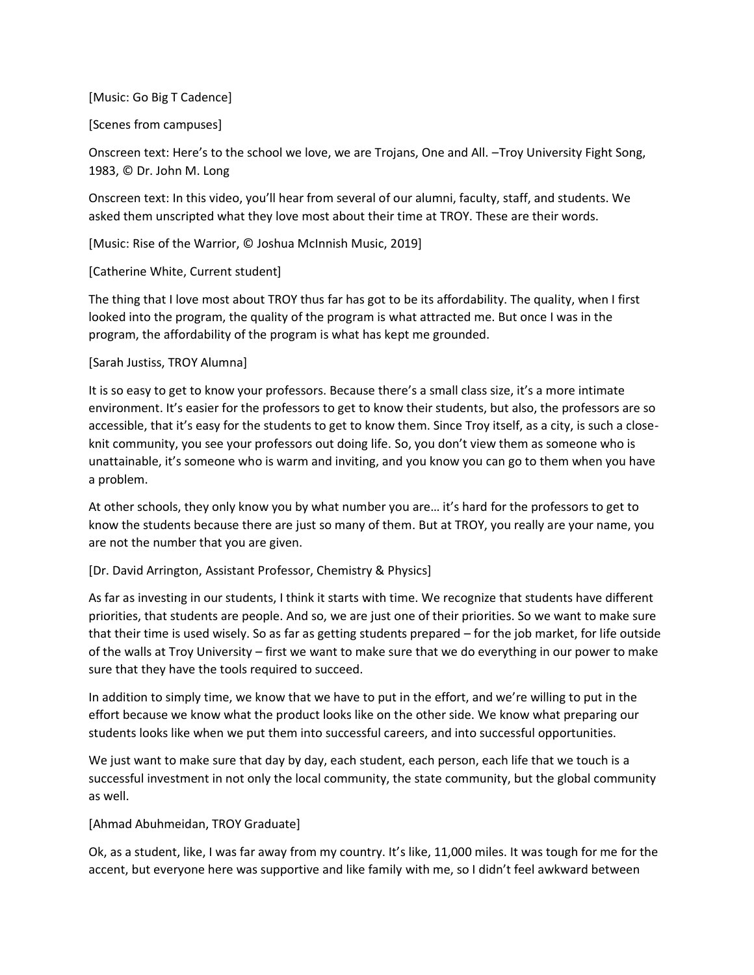[Music: Go Big T Cadence]

## [Scenes from campuses]

Onscreen text: Here's to the school we love, we are Trojans, One and All. –Troy University Fight Song, 1983, © Dr. John M. Long

Onscreen text: In this video, you'll hear from several of our alumni, faculty, staff, and students. We asked them unscripted what they love most about their time at TROY. These are their words.

[Music: Rise of the Warrior, © Joshua McInnish Music, 2019]

[Catherine White, Current student]

The thing that I love most about TROY thus far has got to be its affordability. The quality, when I first looked into the program, the quality of the program is what attracted me. But once I was in the program, the affordability of the program is what has kept me grounded.

## [Sarah Justiss, TROY Alumna]

It is so easy to get to know your professors. Because there's a small class size, it's a more intimate environment. It's easier for the professors to get to know their students, but also, the professors are so accessible, that it's easy for the students to get to know them. Since Troy itself, as a city, is such a closeknit community, you see your professors out doing life. So, you don't view them as someone who is unattainable, it's someone who is warm and inviting, and you know you can go to them when you have a problem.

At other schools, they only know you by what number you are… it's hard for the professors to get to know the students because there are just so many of them. But at TROY, you really are your name, you are not the number that you are given.

## [Dr. David Arrington, Assistant Professor, Chemistry & Physics]

As far as investing in our students, I think it starts with time. We recognize that students have different priorities, that students are people. And so, we are just one of their priorities. So we want to make sure that their time is used wisely. So as far as getting students prepared – for the job market, for life outside of the walls at Troy University – first we want to make sure that we do everything in our power to make sure that they have the tools required to succeed.

In addition to simply time, we know that we have to put in the effort, and we're willing to put in the effort because we know what the product looks like on the other side. We know what preparing our students looks like when we put them into successful careers, and into successful opportunities.

We just want to make sure that day by day, each student, each person, each life that we touch is a successful investment in not only the local community, the state community, but the global community as well.

## [Ahmad Abuhmeidan, TROY Graduate]

Ok, as a student, like, I was far away from my country. It's like, 11,000 miles. It was tough for me for the accent, but everyone here was supportive and like family with me, so I didn't feel awkward between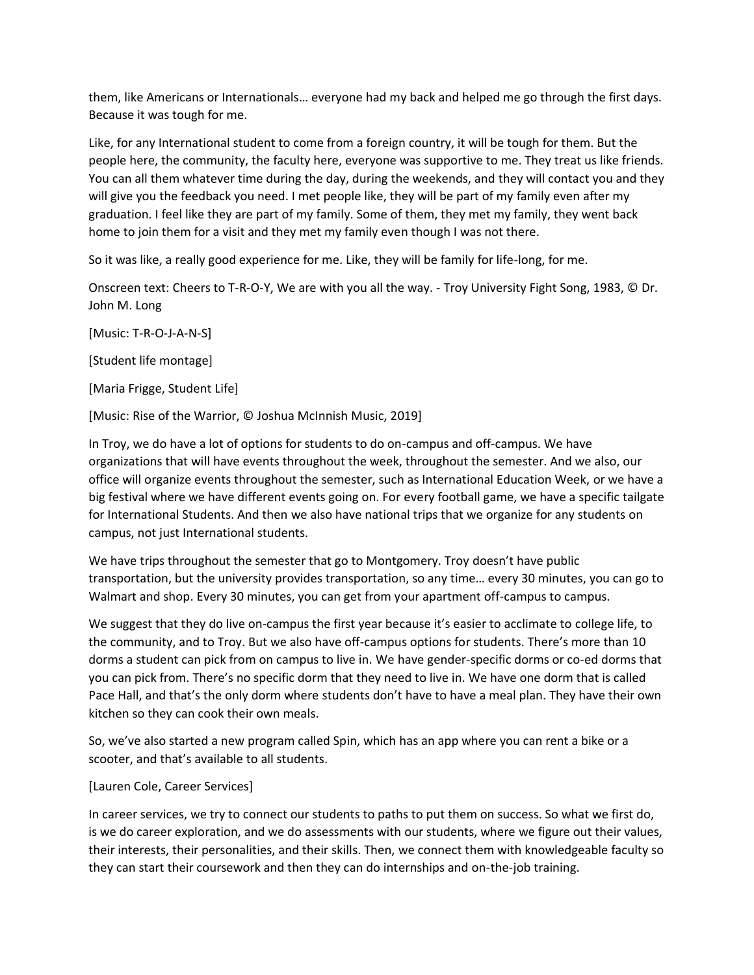them, like Americans or Internationals… everyone had my back and helped me go through the first days. Because it was tough for me.

Like, for any International student to come from a foreign country, it will be tough for them. But the people here, the community, the faculty here, everyone was supportive to me. They treat us like friends. You can all them whatever time during the day, during the weekends, and they will contact you and they will give you the feedback you need. I met people like, they will be part of my family even after my graduation. I feel like they are part of my family. Some of them, they met my family, they went back home to join them for a visit and they met my family even though I was not there.

So it was like, a really good experience for me. Like, they will be family for life-long, for me.

Onscreen text: Cheers to T-R-O-Y, We are with you all the way. - Troy University Fight Song, 1983, © Dr. John M. Long

[Music: T-R-O-J-A-N-S]

[Student life montage]

[Maria Frigge, Student Life]

[Music: Rise of the Warrior, © Joshua McInnish Music, 2019]

In Troy, we do have a lot of options for students to do on-campus and off-campus. We have organizations that will have events throughout the week, throughout the semester. And we also, our office will organize events throughout the semester, such as International Education Week, or we have a big festival where we have different events going on. For every football game, we have a specific tailgate for International Students. And then we also have national trips that we organize for any students on campus, not just International students.

We have trips throughout the semester that go to Montgomery. Troy doesn't have public transportation, but the university provides transportation, so any time… every 30 minutes, you can go to Walmart and shop. Every 30 minutes, you can get from your apartment off-campus to campus.

We suggest that they do live on-campus the first year because it's easier to acclimate to college life, to the community, and to Troy. But we also have off-campus options for students. There's more than 10 dorms a student can pick from on campus to live in. We have gender-specific dorms or co-ed dorms that you can pick from. There's no specific dorm that they need to live in. We have one dorm that is called Pace Hall, and that's the only dorm where students don't have to have a meal plan. They have their own kitchen so they can cook their own meals.

So, we've also started a new program called Spin, which has an app where you can rent a bike or a scooter, and that's available to all students.

## [Lauren Cole, Career Services]

In career services, we try to connect our students to paths to put them on success. So what we first do, is we do career exploration, and we do assessments with our students, where we figure out their values, their interests, their personalities, and their skills. Then, we connect them with knowledgeable faculty so they can start their coursework and then they can do internships and on-the-job training.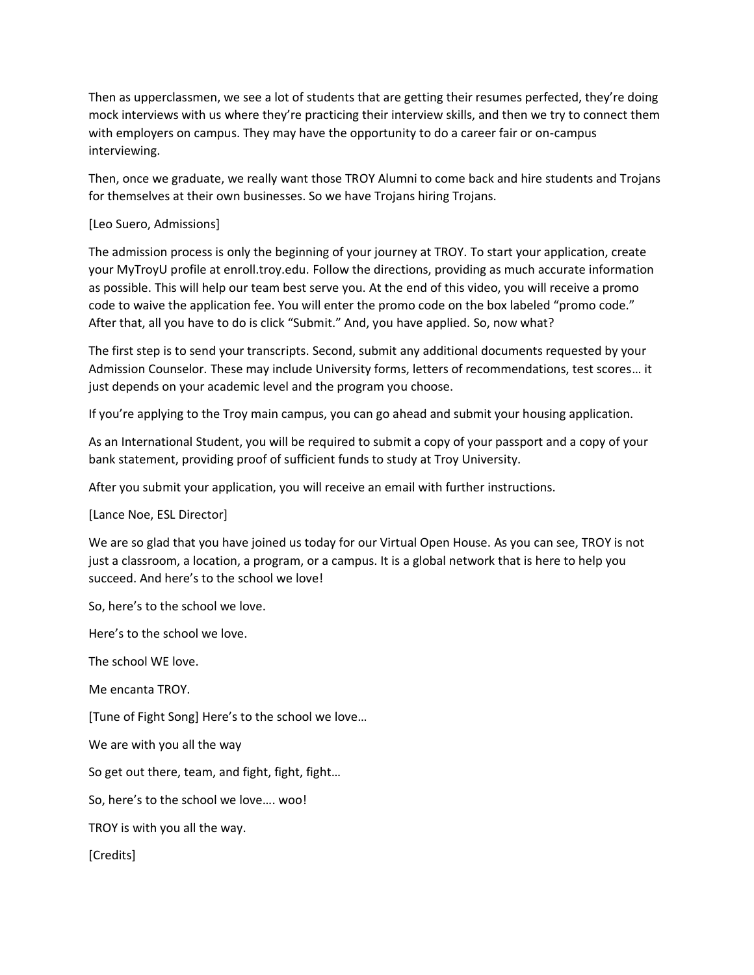Then as upperclassmen, we see a lot of students that are getting their resumes perfected, they're doing mock interviews with us where they're practicing their interview skills, and then we try to connect them with employers on campus. They may have the opportunity to do a career fair or on-campus interviewing.

Then, once we graduate, we really want those TROY Alumni to come back and hire students and Trojans for themselves at their own businesses. So we have Trojans hiring Trojans.

# [Leo Suero, Admissions]

The admission process is only the beginning of your journey at TROY. To start your application, create your MyTroyU profile at [enroll.troy.edu.](https://enroll.troy.edu) Follow the directions, providing as much accurate information as possible. This will help our team best serve you. At the end of this video, you will receive a promo code to waive the application fee. You will enter the promo code on the box labeled "promo code." After that, all you have to do is click "Submit." And, you have applied. So, now what?

The first step is to send your transcripts. Second, submit any additional documents requested by your Admission Counselor. These may include University forms, letters of recommendations, test scores… it just depends on your academic level and the program you choose.

If you're applying to the Troy main campus, you can go ahead and submit your housing application.

As an International Student, you will be required to submit a copy of your passport and a copy of your bank statement, providing proof of sufficient funds to study at Troy University.

After you submit your application, you will receive an email with further instructions.

[Lance Noe, ESL Director]

We are so glad that you have joined us today for our Virtual Open House. As you can see, TROY is not just a classroom, a location, a program, or a campus. It is a global network that is here to help you succeed. And here's to the school we love!

So, here's to the school we love.

Here's to the school we love.

The school WE love.

Me encanta TROY.

[Tune of Fight Song] Here's to the school we love…

We are with you all the way

So get out there, team, and fight, fight, fight…

So, here's to the school we love…. woo!

TROY is with you all the way.

[Credits]